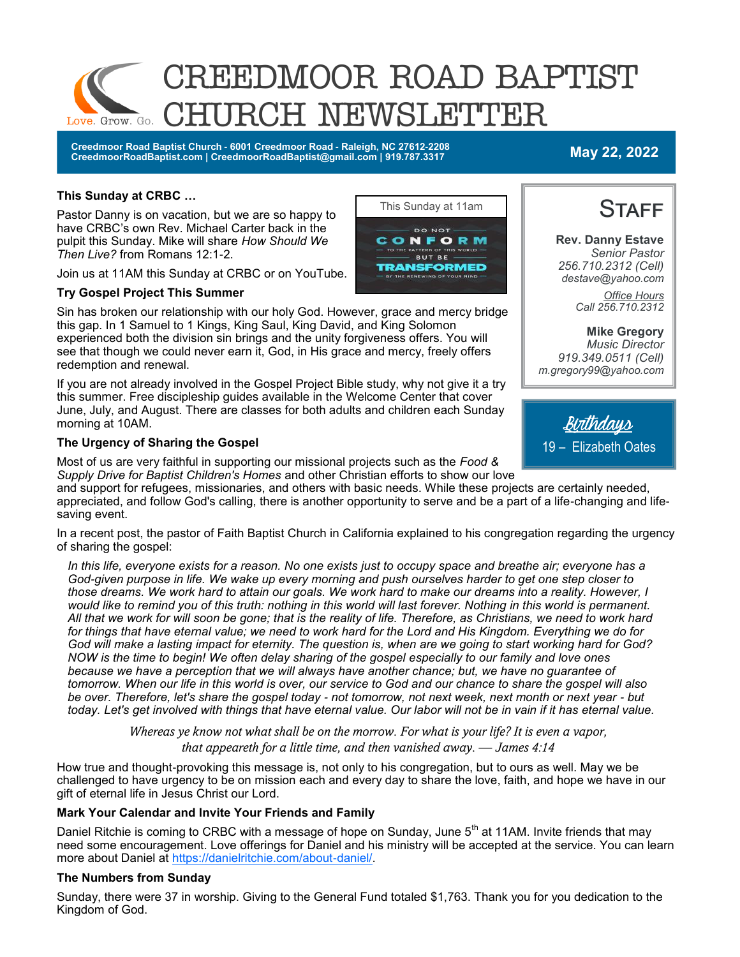

**Creedmoor Road Baptist Church - 6001 Creedmoor Road - Raleigh, NC 27612-2208 CreedmoorRoadBaptist.com | CreedmoorRoadBaptist@gmail.com | 919.787.3317 May 22, 2022**

**Rev. Danny Estave** *Senior Pastor 256.710.2312 (Cell) destave@yahoo.com*

**STAFF** 

#### **This Sunday at CRBC …**

Pastor Danny is on vacation, but we are so happy to have CRBC's own Rev. Michael Carter back in the pulpit this Sunday. Mike will share *How Should We Then Live?* from Romans 12:1-2.

Join us at 11AM this Sunday at CRBC or on YouTube.

#### **Try Gospel Project This Summer**

Sin has broken our relationship with our holy God. However, grace and mercy bridge this gap. In 1 Samuel to 1 Kings, King Saul, King David, and King Solomon experienced both the division sin brings and the unity forgiveness offers. You will see that though we could never earn it, God, in His grace and mercy, freely offers redemption and renewal.

If you are not already involved in the Gospel Project Bible study, why not give it a try this summer. Free discipleship guides available in the Welcome Center that cover June, July, and August. There are classes for both adults and children each Sunday morning at 10AM.

#### **The Urgency of Sharing the Gospel**

Most of us are very faithful in supporting our missional projects such as the *Food & Supply Drive for Baptist Children's Homes* and other Christian efforts to show our love

and support for refugees, missionaries, and others with basic needs. While these projects are certainly needed, appreciated, and follow God's calling, there is another opportunity to serve and be a part of a life-changing and lifesaving event.

In a recent post, the pastor of Faith Baptist Church in California explained to his congregation regarding the urgency of sharing the gospel:

*In this life, everyone exists for a reason. No one exists just to occupy space and breathe air; everyone has a God-given purpose in life. We wake up every morning and push ourselves harder to get one step closer to those dreams. We work hard to attain our goals. We work hard to make our dreams into a reality. However, I*  would like to remind you of this truth: nothing in this world will last forever. Nothing in this world is permanent. *All that we work for will soon be gone; that is the reality of life. Therefore, as Christians, we need to work hard for things that have eternal value; we need to work hard for the Lord and His Kingdom. Everything we do for God will make a lasting impact for eternity. The question is, when are we going to start working hard for God? NOW is the time to begin! We often delay sharing of the gospel especially to our family and love ones because we have a perception that we will always have another chance; but, we have no guarantee of tomorrow. When our life in this world is over, our service to God and our chance to share the gospel will also be over. Therefore, let's share the gospel today - not tomorrow, not next week, next month or next year - but today. Let's get involved with things that have eternal value. Our labor will not be in vain if it has eternal value.*

> *Whereas ye know not what shall be on the morrow. For what is your life? It is even a vapor, that appeareth for a little time, and then vanished away. — James 4:14*

How true and thought-provoking this message is, not only to his congregation, but to ours as well. May we be challenged to have urgency to be on mission each and every day to share the love, faith, and hope we have in our gift of eternal life in Jesus Christ our Lord.

#### **Mark Your Calendar and Invite Your Friends and Family**

Daniel Ritchie is coming to CRBC with a message of hope on Sunday, June 5<sup>th</sup> at 11AM. Invite friends that may need some encouragement. Love offerings for Daniel and his ministry will be accepted at the service. You can learn more about Daniel at [https://danielritchie.com/about-daniel/.](https://danielritchie.com/about-daniel/)

#### **The Numbers from Sunday**

Sunday, there were 37 in worship. Giving to the General Fund totaled \$1,763. Thank you for you dedication to the Kingdom of God.





*m.gregory99@yahoo.com*